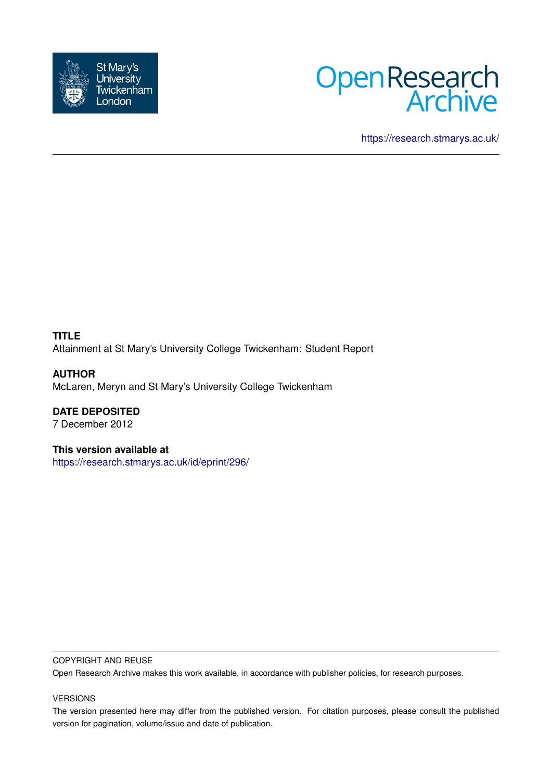



<https://research.stmarys.ac.uk/>

**TITLE** Attainment at St Mary's University College Twickenham: Student Report

**AUTHOR** McLaren, Meryn and St Mary's University College Twickenham

**DATE DEPOSITED** 7 December 2012

**This version available at** <https://research.stmarys.ac.uk/id/eprint/296/>

#### COPYRIGHT AND REUSE

Open Research Archive makes this work available, in accordance with publisher policies, for research purposes.

#### VERSIONS

The version presented here may differ from the published version. For citation purposes, please consult the published version for pagination, volume/issue and date of publication.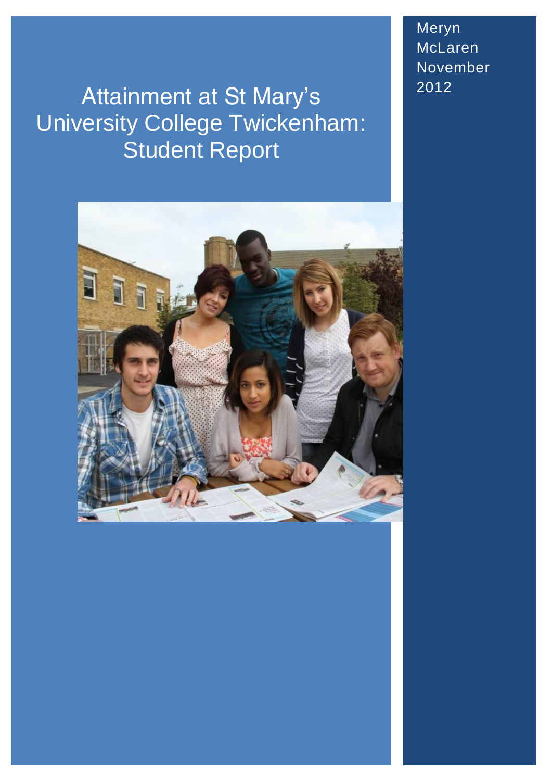# Attainment at St Mary's University College Twickenham: Student Report



Meryn McLaren November 2012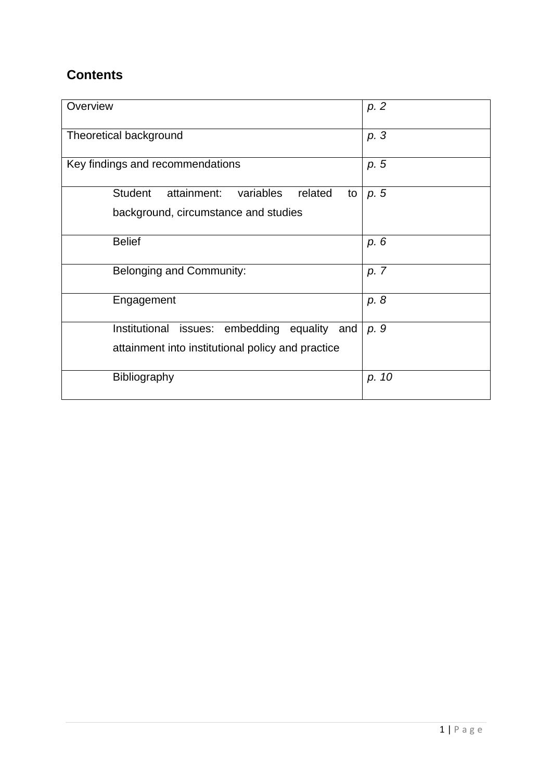# **Contents**

| Overview                                                    | p. 2  |
|-------------------------------------------------------------|-------|
| Theoretical background                                      | p. 3  |
| Key findings and recommendations                            | p. 5  |
| <b>Student</b><br>attainment:<br>variables<br>related<br>to | p. 5  |
| background, circumstance and studies                        |       |
| <b>Belief</b>                                               | p. 6  |
| Belonging and Community:                                    | p. 7  |
| Engagement                                                  | p. 8  |
| Institutional<br>issues: embedding equality<br>and          | p. 9  |
| attainment into institutional policy and practice           |       |
| Bibliography                                                | p. 10 |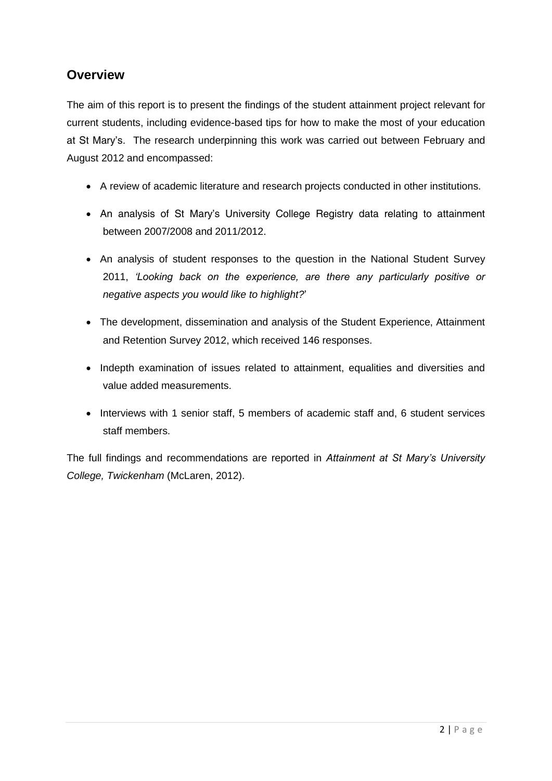# **Overview**

The aim of this report is to present the findings of the student attainment project relevant for current students, including evidence-based tips for how to make the most of your education at St Mary's. The research underpinning this work was carried out between February and August 2012 and encompassed:

- A review of academic literature and research projects conducted in other institutions.
- An analysis of St Mary's University College Registry data relating to attainment between 2007/2008 and 2011/2012.
- An analysis of student responses to the question in the National Student Survey 2011, *'Looking back on the experience, are there any particularly positive or negative aspects you would like to highlight?*'
- The development, dissemination and analysis of the Student Experience, Attainment and Retention Survey 2012, which received 146 responses.
- Indepth examination of issues related to attainment, equalities and diversities and value added measurements.
- Interviews with 1 senior staff, 5 members of academic staff and, 6 student services staff members.

The full findings and recommendations are reported in *Attainment at St Mary's University College, Twickenham* (McLaren, 2012).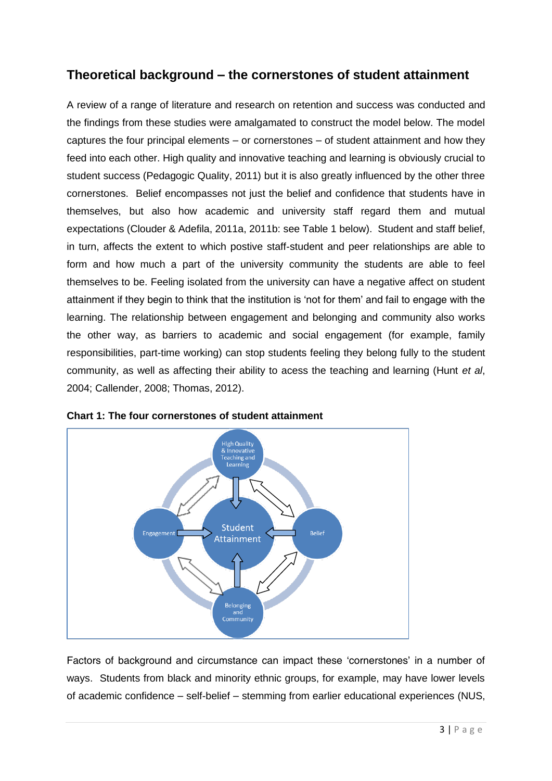# **Theoretical background – the cornerstones of student attainment**

A review of a range of literature and research on retention and success was conducted and the findings from these studies were amalgamated to construct the model below. The model captures the four principal elements – or cornerstones – of student attainment and how they feed into each other. High quality and innovative teaching and learning is obviously crucial to student success (Pedagogic Quality, 2011) but it is also greatly influenced by the other three cornerstones. Belief encompasses not just the belief and confidence that students have in themselves, but also how academic and university staff regard them and mutual expectations (Clouder & Adefila, 2011a, 2011b: see Table 1 below). Student and staff belief, in turn, affects the extent to which postive staff-student and peer relationships are able to form and how much a part of the university community the students are able to feel themselves to be. Feeling isolated from the university can have a negative affect on student attainment if they begin to think that the institution is 'not for them' and fail to engage with the learning. The relationship between engagement and belonging and community also works the other way, as barriers to academic and social engagement (for example, family responsibilities, part-time working) can stop students feeling they belong fully to the student community, as well as affecting their ability to acess the teaching and learning (Hunt *et al*, 2004; Callender, 2008; Thomas, 2012).





Factors of background and circumstance can impact these 'cornerstones' in a number of ways. Students from black and minority ethnic groups, for example, may have lower levels of academic confidence – self-belief – stemming from earlier educational experiences (NUS,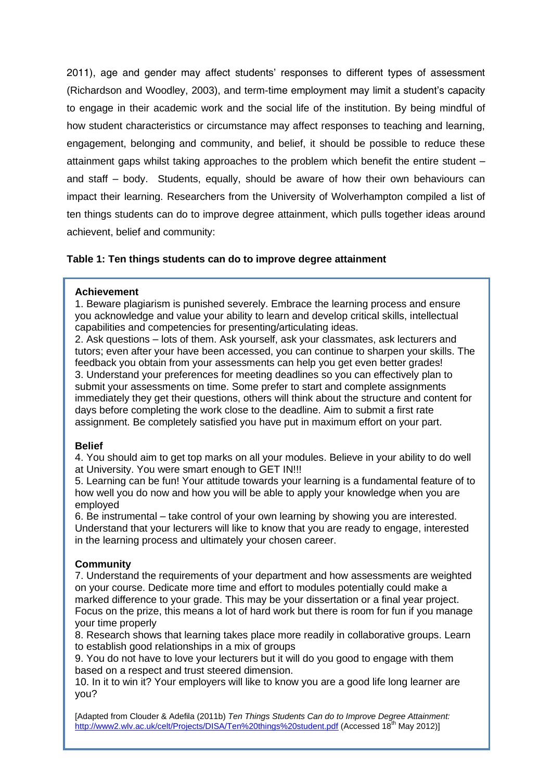2011), age and gender may affect students' responses to different types of assessment (Richardson and Woodley, 2003), and term-time employment may limit a student's capacity to engage in their academic work and the social life of the institution. By being mindful of how student characteristics or circumstance may affect responses to teaching and learning, engagement, belonging and community, and belief, it should be possible to reduce these attainment gaps whilst taking approaches to the problem which benefit the entire student – and staff – body. Students, equally, should be aware of how their own behaviours can impact their learning. Researchers from the University of Wolverhampton compiled a list of ten things students can do to improve degree attainment, which pulls together ideas around achievent, belief and community:

# **Table 1: Ten things students can do to improve degree attainment**

#### **Achievement**

1. Beware plagiarism is punished severely. Embrace the learning process and ensure you acknowledge and value your ability to learn and develop critical skills, intellectual capabilities and competencies for presenting/articulating ideas.

2. Ask questions – lots of them. Ask yourself, ask your classmates, ask lecturers and tutors; even after your have been accessed, you can continue to sharpen your skills. The feedback you obtain from your assessments can help you get even better grades! 3. Understand your preferences for meeting deadlines so you can effectively plan to submit your assessments on time. Some prefer to start and complete assignments immediately they get their questions, others will think about the structure and content for days before completing the work close to the deadline. Aim to submit a first rate assignment. Be completely satisfied you have put in maximum effort on your part.

## **Belief**

4. You should aim to get top marks on all your modules. Believe in your ability to do well at University. You were smart enough to GET IN!!!

5. Learning can be fun! Your attitude towards your learning is a fundamental feature of to how well you do now and how you will be able to apply your knowledge when you are employed

6. Be instrumental – take control of your own learning by showing you are interested. Understand that your lecturers will like to know that you are ready to engage, interested in the learning process and ultimately your chosen career.

## **Community**

7. Understand the requirements of your department and how assessments are weighted on your course. Dedicate more time and effort to modules potentially could make a marked difference to your grade. This may be your dissertation or a final year project. Focus on the prize, this means a lot of hard work but there is room for fun if you manage your time properly

8. Research shows that learning takes place more readily in collaborative groups. Learn to establish good relationships in a mix of groups

9. You do not have to love your lecturers but it will do you good to engage with them based on a respect and trust steered dimension.

10. In it to win it? Your employers will like to know you are a good life long learner are you?

4 | P a g e [Adapted from Clouder & Adefila (2011b) *Ten Things Students Can do to Improve Degree Attainment:*  <http://www2.wlv.ac.uk/celt/Projects/DISA/Ten%20things%20student.pdf> (Accessed 18<sup>th</sup> May 2012)]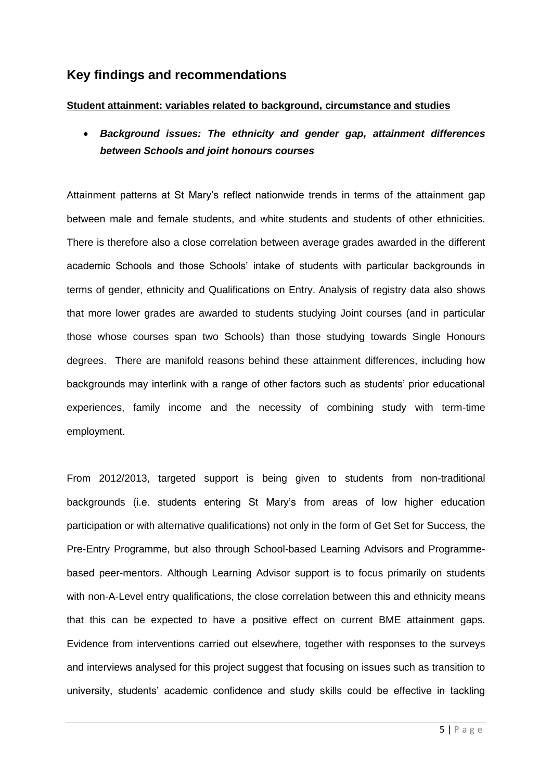# **Key findings and recommendations**

## **Student attainment: variables related to background, circumstance and studies**

 *Background issues: The ethnicity and gender gap, attainment differences between Schools and joint honours courses* 

Attainment patterns at St Mary's reflect nationwide trends in terms of the attainment gap between male and female students, and white students and students of other ethnicities. There is therefore also a close correlation between average grades awarded in the different academic Schools and those Schools' intake of students with particular backgrounds in terms of gender, ethnicity and Qualifications on Entry. Analysis of registry data also shows that more lower grades are awarded to students studying Joint courses (and in particular those whose courses span two Schools) than those studying towards Single Honours degrees. There are manifold reasons behind these attainment differences, including how backgrounds may interlink with a range of other factors such as students' prior educational experiences, family income and the necessity of combining study with term-time employment.

From 2012/2013, targeted support is being given to students from non-traditional backgrounds (i.e. students entering St Mary's from areas of low higher education participation or with alternative qualifications) not only in the form of Get Set for Success, the Pre-Entry Programme, but also through School-based Learning Advisors and Programmebased peer-mentors. Although Learning Advisor support is to focus primarily on students with non-A-Level entry qualifications, the close correlation between this and ethnicity means that this can be expected to have a positive effect on current BME attainment gaps. Evidence from interventions carried out elsewhere, together with responses to the surveys and interviews analysed for this project suggest that focusing on issues such as transition to university, students' academic confidence and study skills could be effective in tackling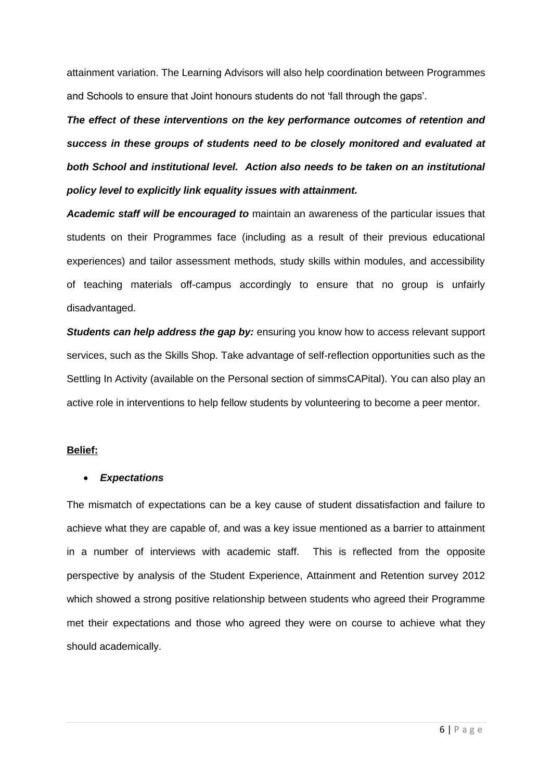attainment variation. The Learning Advisors will also help coordination between Programmes and Schools to ensure that Joint honours students do not 'fall through the gaps'.

*The effect of these interventions on the key performance outcomes of retention and success in these groups of students need to be closely monitored and evaluated at both School and institutional level. Action also needs to be taken on an institutional policy level to explicitly link equality issues with attainment.* 

*Academic staff will be encouraged to* maintain an awareness of the particular issues that students on their Programmes face (including as a result of their previous educational experiences) and tailor assessment methods, study skills within modules, and accessibility of teaching materials off-campus accordingly to ensure that no group is unfairly disadvantaged.

*Students can help address the gap by: ensuring you know how to access relevant support* services, such as the Skills Shop. Take advantage of self-reflection opportunities such as the Settling In Activity (available on the Personal section of simmsCAPital). You can also play an active role in interventions to help fellow students by volunteering to become a peer mentor.

#### **Belief:**

## *Expectations*

The mismatch of expectations can be a key cause of student dissatisfaction and failure to achieve what they are capable of, and was a key issue mentioned as a barrier to attainment in a number of interviews with academic staff. This is reflected from the opposite perspective by analysis of the Student Experience, Attainment and Retention survey 2012 which showed a strong positive relationship between students who agreed their Programme met their expectations and those who agreed they were on course to achieve what they should academically.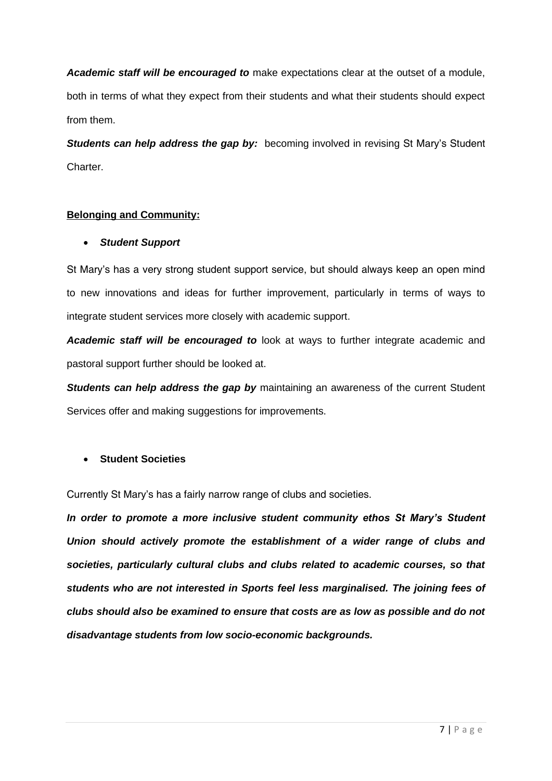*Academic staff will be encouraged to* make expectations clear at the outset of a module, both in terms of what they expect from their students and what their students should expect from them.

**Students can help address the gap by:** becoming involved in revising St Mary's Student Charter.

# **Belonging and Community:**

# *Student Support*

St Mary's has a very strong student support service, but should always keep an open mind to new innovations and ideas for further improvement, particularly in terms of ways to integrate student services more closely with academic support.

*Academic staff will be encouraged to* look at ways to further integrate academic and pastoral support further should be looked at.

*Students can help address the gap by maintaining an awareness of the current Student* Services offer and making suggestions for improvements.

# **Student Societies**

Currently St Mary's has a fairly narrow range of clubs and societies.

*In order to promote a more inclusive student community ethos St Mary's Student Union should actively promote the establishment of a wider range of clubs and societies, particularly cultural clubs and clubs related to academic courses, so that students who are not interested in Sports feel less marginalised. The joining fees of clubs should also be examined to ensure that costs are as low as possible and do not disadvantage students from low socio-economic backgrounds.*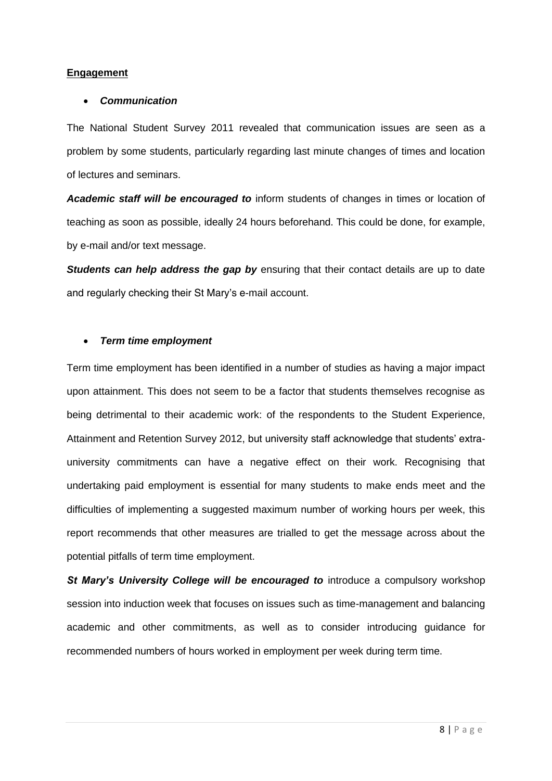## **Engagement**

#### *Communication*

The National Student Survey 2011 revealed that communication issues are seen as a problem by some students, particularly regarding last minute changes of times and location of lectures and seminars.

*Academic staff will be encouraged to* inform students of changes in times or location of teaching as soon as possible, ideally 24 hours beforehand. This could be done, for example, by e-mail and/or text message.

**Students can help address the gap by** ensuring that their contact details are up to date and regularly checking their St Mary's e-mail account.

## *Term time employment*

Term time employment has been identified in a number of studies as having a major impact upon attainment. This does not seem to be a factor that students themselves recognise as being detrimental to their academic work: of the respondents to the Student Experience, Attainment and Retention Survey 2012, but university staff acknowledge that students' extrauniversity commitments can have a negative effect on their work. Recognising that undertaking paid employment is essential for many students to make ends meet and the difficulties of implementing a suggested maximum number of working hours per week, this report recommends that other measures are trialled to get the message across about the potential pitfalls of term time employment.

*St Mary's University College will be encouraged to* introduce a compulsory workshop session into induction week that focuses on issues such as time-management and balancing academic and other commitments, as well as to consider introducing guidance for recommended numbers of hours worked in employment per week during term time.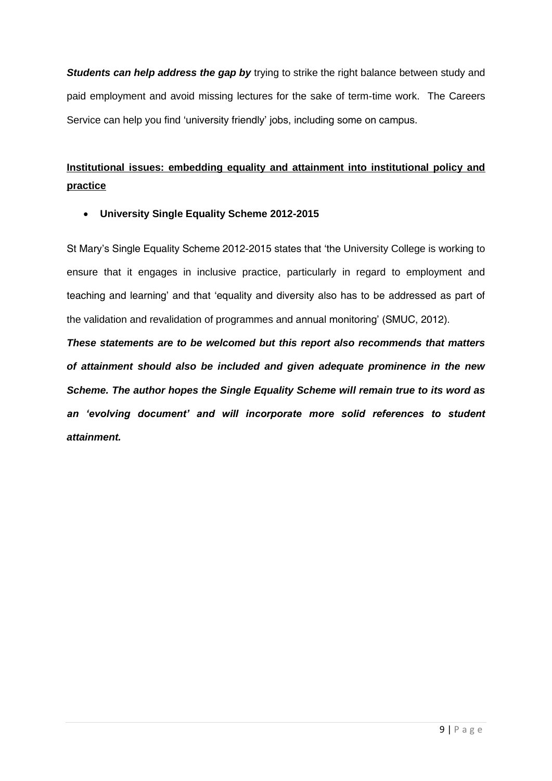*Students can help address the gap by* trying to strike the right balance between study and paid employment and avoid missing lectures for the sake of term-time work. The Careers Service can help you find 'university friendly' jobs, including some on campus.

# **Institutional issues: embedding equality and attainment into institutional policy and practice**

**University Single Equality Scheme 2012-2015**

St Mary's Single Equality Scheme 2012-2015 states that 'the University College is working to ensure that it engages in inclusive practice, particularly in regard to employment and teaching and learning' and that 'equality and diversity also has to be addressed as part of the validation and revalidation of programmes and annual monitoring' (SMUC, 2012).

*These statements are to be welcomed but this report also recommends that matters of attainment should also be included and given adequate prominence in the new Scheme. The author hopes the Single Equality Scheme will remain true to its word as an 'evolving document' and will incorporate more solid references to student attainment.*